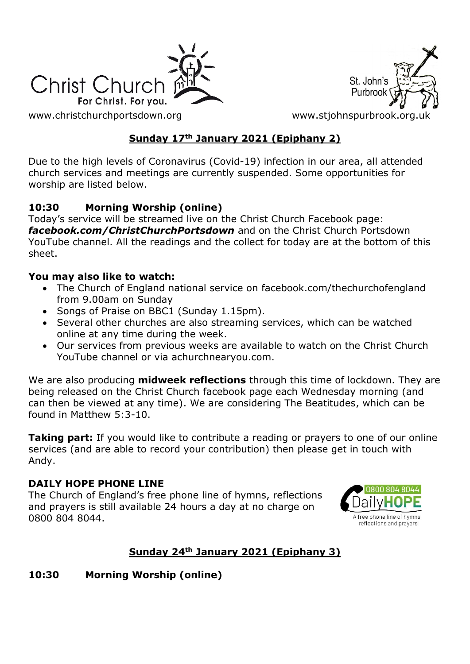



[www.christchurchportsdown.org](http://www.christchurchportsdown.org/) www.stjohnspurbrook.org

# **Sunday 17th January 2021 (Epiphany 2)**

Due to the high levels of Coronavirus (Covid-19) infection in our area, all attended church services and meetings are currently suspended. Some opportunities for worship are listed below.

### **10:30 Morning Worship (online)**

Today's service will be streamed live on the Christ Church Facebook page: *[facebook.com/ChristChurchPortsdown](http://www.facebook.com/ChristChurchPortsdown%20at%2010.30)* and on the Christ Church Portsdown YouTube channel. All the readings and the collect for today are at the bottom of this sheet.

### **You may also like to watch:**

- The Church of England national service on facebook.com/thechurchofengland from 9.00am on Sunday
- Songs of Praise on BBC1 (Sunday 1.15pm).
- Several other churches are also streaming services, which can be watched online at any time during the week.
- Our services from previous weeks are available to watch on the Christ Church YouTube channel or via achurchnearyou.com.

We are also producing **midweek reflections** through this time of lockdown. They are being released on the Christ Church facebook page each Wednesday morning (and can then be viewed at any time). We are considering The Beatitudes, which can be found in Matthew 5:3-10.

**Taking part:** If you would like to contribute a reading or prayers to one of our online services (and are able to record your contribution) then please get in touch with Andy.

#### **DAILY HOPE PHONE LINE**

The Church of England's free phone line of hymns, reflections and prayers is still available 24 hours a day at no charge on 0800 804 8044.



# **Sunday 24th January 2021 (Epiphany 3)**

### **10:30 Morning Worship (online)**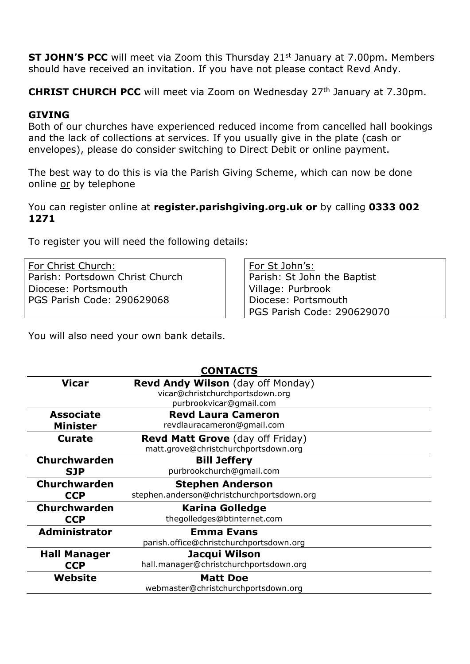**ST JOHN'S PCC** will meet via Zoom this Thursday 21<sup>st</sup> January at 7.00pm. Members should have received an invitation. If you have not please contact Revd Andy.

**CHRIST CHURCH PCC** will meet via Zoom on Wednesday 27<sup>th</sup> January at 7.30pm.

#### **GIVING**

Both of our churches have experienced reduced income from cancelled hall bookings and the lack of collections at services. If you usually give in the plate (cash or envelopes), please do consider switching to Direct Debit or online payment.

The best way to do this is via the Parish Giving Scheme, which can now be done online or by telephone

#### You can register online at **register.parishgiving.org.uk or** by calling **0333 002 1271**

To register you will need the following details:

For Christ Church: Parish: Portsdown Christ Church Diocese: Portsmouth PGS Parish Code: 290629068

For St John's: Parish: St John the Baptist Village: Purbrook Diocese: Portsmouth PGS Parish Code: 290629070

You will also need your own bank details.

| <b>CONTACTS</b>      |                                            |
|----------------------|--------------------------------------------|
| <b>Vicar</b>         | <b>Revd Andy Wilson</b> (day off Monday)   |
|                      | vicar@christchurchportsdown.org            |
|                      | purbrookvicar@gmail.com                    |
| <b>Associate</b>     | <b>Revd Laura Cameron</b>                  |
| <b>Minister</b>      | revdlauracameron@gmail.com                 |
| <b>Curate</b>        | <b>Revd Matt Grove</b> (day off Friday)    |
|                      | matt.grove@christchurchportsdown.org       |
| Churchwarden         | <b>Bill Jeffery</b>                        |
| <b>SJP</b>           | purbrookchurch@gmail.com                   |
| Churchwarden         | <b>Stephen Anderson</b>                    |
| <b>CCP</b>           | stephen.anderson@christchurchportsdown.org |
| Churchwarden         | <b>Karina Golledge</b>                     |
| <b>CCP</b>           | thegolledges@btinternet.com                |
| <b>Administrator</b> | <b>Emma Evans</b>                          |
|                      | parish.office@christchurchportsdown.org    |
| <b>Hall Manager</b>  | Jacqui Wilson                              |
| <b>CCP</b>           | hall.manager@christchurchportsdown.org     |
| Website              | <b>Matt Doe</b>                            |
|                      | webmaster@christchurchportsdown.org        |
|                      |                                            |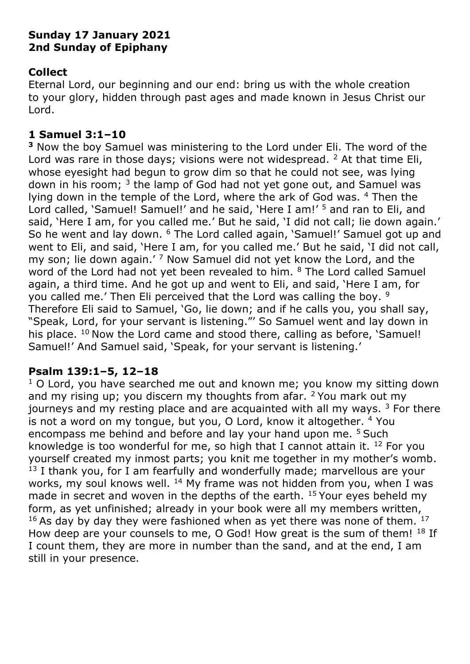### **Sunday 17 January 2021 2nd Sunday of Epiphany**

## **Collect**

Eternal Lord, our beginning and our end: bring us with the whole creation to your glory, hidden through past ages and made known in Jesus Christ our Lord.

## **1 Samuel 3:1–10**

**<sup>3</sup>** Now the boy Samuel was ministering to the Lord under Eli. The word of the Lord was rare in those days; visions were not widespread.  $2$  At that time Eli, whose eyesight had begun to grow dim so that he could not see, was lying down in his room;  $3$  the lamp of God had not yet gone out, and Samuel was lying down in the temple of the Lord, where the ark of God was. <sup>4</sup> Then the Lord called, 'Samuel! Samuel!' and he said, 'Here I am!' <sup>5</sup> and ran to Eli, and said, 'Here I am, for you called me.' But he said, 'I did not call; lie down again.' So he went and lay down. <sup>6</sup> The Lord called again, 'Samuel!' Samuel got up and went to Eli, and said, 'Here I am, for you called me.' But he said, 'I did not call, my son; lie down again.'<sup>7</sup> Now Samuel did not yet know the Lord, and the word of the Lord had not yet been revealed to him. <sup>8</sup> The Lord called Samuel again, a third time. And he got up and went to Eli, and said, 'Here I am, for you called me.' Then Eli perceived that the Lord was calling the boy. <sup>9</sup> Therefore Eli said to Samuel, 'Go, lie down; and if he calls you, you shall say, "Speak, Lord, for your servant is listening."' So Samuel went and lay down in his place.  $10$  Now the Lord came and stood there, calling as before, 'Samuel! Samuel!' And Samuel said, 'Speak, for your servant is listening.'

# **Psalm 139:1–5, 12–18**

 $1$  O Lord, you have searched me out and known me; you know my sitting down and my rising up; you discern my thoughts from afar.  $2$  You mark out my journeys and my resting place and are acquainted with all my ways.  $3$  For there is not a word on my tongue, but you, O Lord, know it altogether. <sup>4</sup> You encompass me behind and before and lay your hand upon me. <sup>5</sup> Such knowledge is too wonderful for me, so high that I cannot attain it.  $^{12}$  For you yourself created my inmost parts; you knit me together in my mother's womb.  $13$  I thank you, for I am fearfully and wonderfully made; marvellous are your works, my soul knows well.  $^{14}$  My frame was not hidden from you, when I was made in secret and woven in the depths of the earth. <sup>15</sup> Your eyes beheld my form, as yet unfinished; already in your book were all my members written,  $16$  As day by day they were fashioned when as yet there was none of them.  $17$ How deep are your counsels to me, O God! How great is the sum of them! <sup>18</sup> If I count them, they are more in number than the sand, and at the end, I am still in your presence.